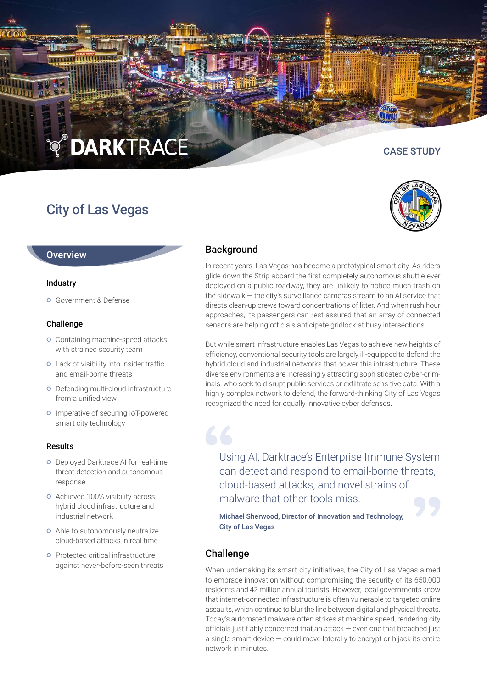# **O DARKTRACE**

## City of Las Vegas

CASE STUDY



In recent years, Las Vegas has become a prototypical smart city. As riders glide down the Strip aboard the first completely autonomous shuttle ever deployed on a public roadway, they are unlikely to notice much trash on the sidewalk — the city's surveillance cameras stream to an AI service that directs clean-up crews toward concentrations of litter. And when rush hour approaches, its passengers can rest assured that an array of connected sensors are helping officials anticipate gridlock at busy intersections.

But while smart infrastructure enables Las Vegas to achieve new heights of efficiency, conventional security tools are largely ill-equipped to defend the hybrid cloud and industrial networks that power this infrastructure. These diverse environments are increasingly attracting sophisticated cyber-criminals, who seek to disrupt public services or exfiltrate sensitive data. With a highly complex network to defend, the forward-thinking City of Las Vegas recognized the need for equally innovative cyber defenses.

Using AI, Darktrace's Enterprise Immune System can detect and respond to email-borne threats, cloud-based attacks, and novel strains of malware that other tools miss.

Michael Sherwood, Director of Innovation and Technology, City of Las Vegas

## **Challenge**

When undertaking its smart city initiatives, the City of Las Vegas aimed to embrace innovation without compromising the security of its 650,000 residents and 42 million annual tourists. However, local governments know that internet-connected infrastructure is often vulnerable to targeted online assaults, which continue to blur the line between digital and physical threats. Today's automated malware often strikes at machine speed, rendering city officials justifiably concerned that an attack — even one that breached just a single smart device — could move laterally to encrypt or hijack its entire network in minutes.

#### **Overview**

#### Industry

**o** Government & Defense

#### Challenge

- **o** Containing machine-speed attacks with strained security team
- Lack of visibility into insider traffic and email-borne threats
- **o** Defending multi-cloud infrastructure from a unified view
- **o** Imperative of securing IoT-powered smart city technology

#### Results

- **O** Deployed Darktrace AI for real-time threat detection and autonomous response
- Achieved 100% visibility across hybrid cloud infrastructure and industrial network
- **o** Able to autonomously neutralize cloud-based attacks in real time
- **O** Protected critical infrastructure against never-before-seen threats